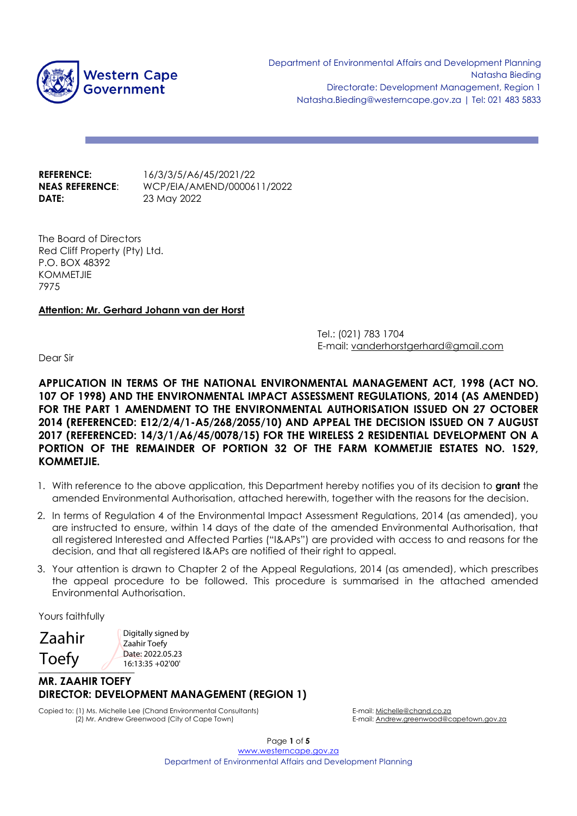

**DATE:** 23 May 2022

**REFERENCE:** 16/3/3/5/A6/45/2021/22 **NEAS REFERENCE**: WCP/EIA/AMEND/0000611/2022

The Board of Directors Red Cliff Property (Pty) Ltd. P.O. BOX 48392 KOMMETJIE 7975

# **Attention: Mr. Gerhard Johann van der Horst**

Tel.: (021) 783 1704 E-mail: vanderhorstgerhard@gmail.com

Dear Sir

**APPLICATION IN TERMS OF THE NATIONAL ENVIRONMENTAL MANAGEMENT ACT, 1998 (ACT NO. 107 OF 1998) AND THE ENVIRONMENTAL IMPACT ASSESSMENT REGULATIONS, 2014 (AS AMENDED) FOR THE PART 1 AMENDMENT TO THE ENVIRONMENTAL AUTHORISATION ISSUED ON 27 OCTOBER 2014 (REFERENCED: E12/2/4/1-A5/268/2055/10) AND APPEAL THE DECISION ISSUED ON 7 AUGUST 2017 (REFERENCED: 14/3/1/A6/45/0078/15) FOR THE WIRELESS 2 RESIDENTIAL DEVELOPMENT ON A PORTION OF THE REMAINDER OF PORTION 32 OF THE FARM KOMMETJIE ESTATES NO. 1529, KOMMETJIE.**

- 1. With reference to the above application, this Department hereby notifies you of its decision to **grant** the amended Environmental Authorisation, attached herewith, together with the reasons for the decision.
- 2. In terms of Regulation 4 of the Environmental Impact Assessment Regulations, 2014 (as amended), you are instructed to ensure, within 14 days of the date of the amended Environmental Authorisation, that all registered Interested and Affected Parties ("I&APs") are provided with access to and reasons for the decision, and that all registered I&APs are notified of their right to appeal.
- 3. Your attention is drawn to Chapter 2 of the Appeal Regulations, 2014 (as amended), which prescribes the appeal procedure to be followed. This procedure is summarised in the attached amended Environmental Authorisation.

Yours faithfully

**\_\_\_\_\_\_\_\_\_\_\_\_\_\_\_\_\_\_** Zaahir Toefy

Digitally signed by Zaahir Toefy Date: 2022.05.23 16:13:35 +02'00'

# **MR. ZAAHIR TOEFY DIRECTOR: DEVELOPMENT MANAGEMENT (REGION 1)**

Copied to: (1) Ms. Michelle Lee (Chand Environmental Consultants) E-mail: Michelle@chand.co.za (2) Mr. Andrew Greenwood (City of Cape Town) E-mail: Andrew.greenwood@capetown.gov.za

Page **1** of **5** [www.westerncape.gov.za](http://www.westerncape.gov.za/) Department of Environmental Affairs and Development Planning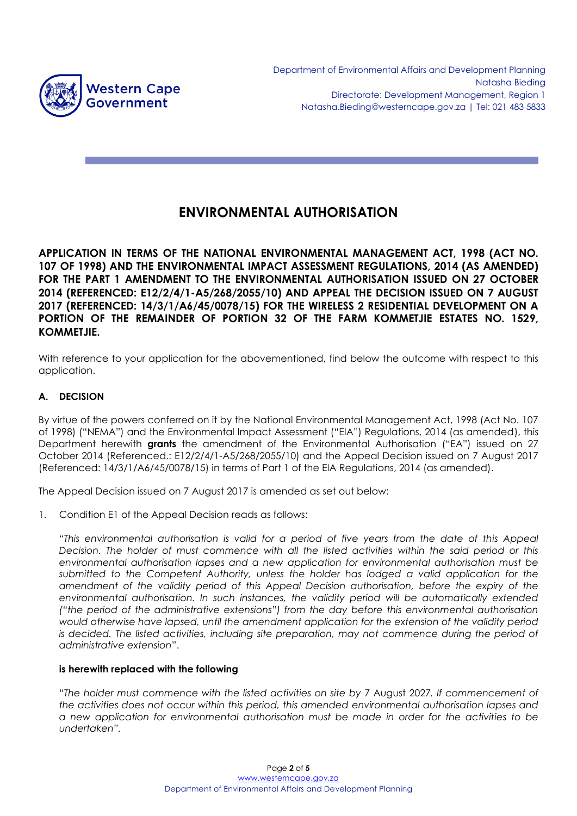

# **ENVIRONMENTAL AUTHORISATION**

**APPLICATION IN TERMS OF THE NATIONAL ENVIRONMENTAL MANAGEMENT ACT, 1998 (ACT NO. 107 OF 1998) AND THE ENVIRONMENTAL IMPACT ASSESSMENT REGULATIONS, 2014 (AS AMENDED) FOR THE PART 1 AMENDMENT TO THE ENVIRONMENTAL AUTHORISATION ISSUED ON 27 OCTOBER 2014 (REFERENCED: E12/2/4/1-A5/268/2055/10) AND APPEAL THE DECISION ISSUED ON 7 AUGUST 2017 (REFERENCED: 14/3/1/A6/45/0078/15) FOR THE WIRELESS 2 RESIDENTIAL DEVELOPMENT ON A PORTION OF THE REMAINDER OF PORTION 32 OF THE FARM KOMMETJIE ESTATES NO. 1529, KOMMETJIE.**

With reference to your application for the abovementioned, find below the outcome with respect to this application.

# **A. DECISION**

By virtue of the powers conferred on it by the National Environmental Management Act, 1998 (Act No. 107 of 1998) ("NEMA") and the Environmental Impact Assessment ("EIA") Regulations, 2014 (as amended), this Department herewith **grants** the amendment of the Environmental Authorisation ("EA") issued on 27 October 2014 (Referenced.: E12/2/4/1-A5/268/2055/10) and the Appeal Decision issued on 7 August 2017 (Referenced: 14/3/1/A6/45/0078/15) in terms of Part 1 of the EIA Regulations, 2014 (as amended).

The Appeal Decision issued on 7 August 2017 is amended as set out below:

1. Condition E1 of the Appeal Decision reads as follows:

"*This environmental authorisation is valid for a period of five years from the date of this Appeal Decision. The holder of must commence with all the listed activities within the said period or this environmental authorisation lapses and a new application for environmental authorisation must be submitted to the Competent Authority, unless the holder has lodged a valid application for the amendment of the validity period of this Appeal Decision authorisation, before the expiry of the environmental authorisation. In such instances, the validity period will be automatically extended ("the period of the administrative extensions") from the day before this environmental authorisation would otherwise have lapsed, until the amendment application for the extension of the validity period is decided. The listed activities, including site preparation, may not commence during the period of administrative extension*".

# **is herewith replaced with the following**

"*The holder must commence with the listed activities on site by* 7 August 2027*. If commencement of the activities does not occur within this period, this amended environmental authorisation lapses and a new application for environmental authorisation must be made in order for the activities to be undertaken".*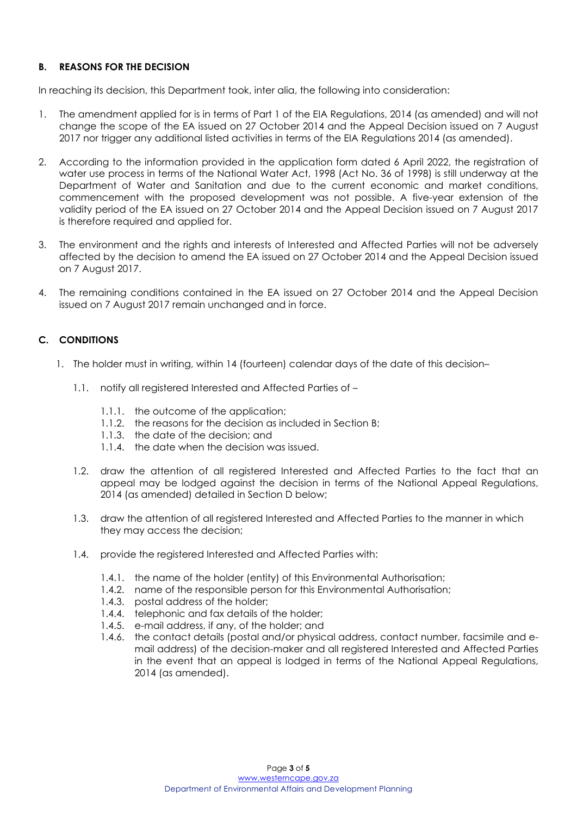# **B. REASONS FOR THE DECISION**

In reaching its decision, this Department took, inter alia, the following into consideration:

- 1. The amendment applied for is in terms of Part 1 of the EIA Regulations, 2014 (as amended) and will not change the scope of the EA issued on 27 October 2014 and the Appeal Decision issued on 7 August 2017 nor trigger any additional listed activities in terms of the EIA Regulations 2014 (as amended).
- 2. According to the information provided in the application form dated 6 April 2022, the registration of water use process in terms of the National Water Act, 1998 (Act No. 36 of 1998) is still underway at the Department of Water and Sanitation and due to the current economic and market conditions, commencement with the proposed development was not possible. A five-year extension of the validity period of the EA issued on 27 October 2014 and the Appeal Decision issued on 7 August 2017 is therefore required and applied for.
- 3. The environment and the rights and interests of Interested and Affected Parties will not be adversely affected by the decision to amend the EA issued on 27 October 2014 and the Appeal Decision issued on 7 August 2017.
- 4. The remaining conditions contained in the EA issued on 27 October 2014 and the Appeal Decision issued on 7 August 2017 remain unchanged and in force.

#### **C. CONDITIONS**

- 1. The holder must in writing, within 14 (fourteen) calendar days of the date of this decision–
	- 1.1. notify all registered Interested and Affected Parties of
		- 1.1.1. the outcome of the application;
		- 1.1.2. the reasons for the decision as included in Section B;
		- 1.1.3. the date of the decision; and
		- 1.1.4. the date when the decision was issued.
	- 1.2. draw the attention of all registered Interested and Affected Parties to the fact that an appeal may be lodged against the decision in terms of the National Appeal Regulations, 2014 (as amended) detailed in Section D below;
	- 1.3. draw the attention of all registered Interested and Affected Parties to the manner in which they may access the decision;
	- 1.4. provide the registered Interested and Affected Parties with:
		- 1.4.1. the name of the holder (entity) of this Environmental Authorisation;
		- 1.4.2. name of the responsible person for this Environmental Authorisation;
		- 1.4.3. postal address of the holder;
		- 1.4.4. telephonic and fax details of the holder;
		- 1.4.5. e-mail address, if any, of the holder; and
		- 1.4.6. the contact details (postal and/or physical address, contact number, facsimile and email address) of the decision-maker and all registered Interested and Affected Parties in the event that an appeal is lodged in terms of the National Appeal Regulations, 2014 (as amended).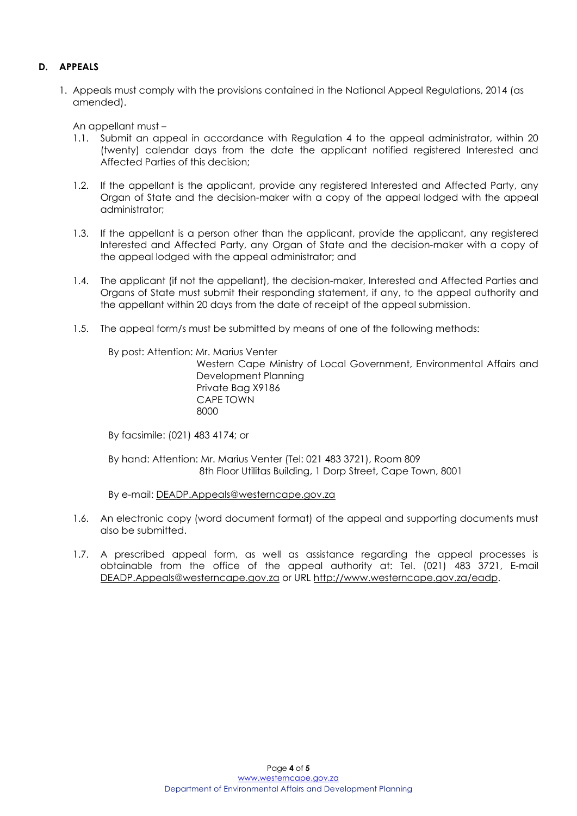# **D. APPEALS**

1. Appeals must comply with the provisions contained in the National Appeal Regulations, 2014 (as amended).

An appellant must –

- 1.1. Submit an appeal in accordance with Regulation 4 to the appeal administrator, within 20 (twenty) calendar days from the date the applicant notified registered Interested and Affected Parties of this decision;
- 1.2. If the appellant is the applicant, provide any registered Interested and Affected Party, any Organ of State and the decision-maker with a copy of the appeal lodged with the appeal administrator;
- 1.3. If the appellant is a person other than the applicant, provide the applicant, any registered Interested and Affected Party, any Organ of State and the decision-maker with a copy of the appeal lodged with the appeal administrator; and
- 1.4. The applicant (if not the appellant), the decision-maker, Interested and Affected Parties and Organs of State must submit their responding statement, if any, to the appeal authority and the appellant within 20 days from the date of receipt of the appeal submission.
- 1.5. The appeal form/s must be submitted by means of one of the following methods:

By post: Attention: Mr. Marius Venter

Western Cape Ministry of Local Government, Environmental Affairs and Development Planning Private Bag X9186 CAPE TOWN <u>8000 - 1990 - 1990 - 1990 - 1990 - 1990 - 1990 - 1990 - 1990 - 1990 - 1990 - 1990 - 1990 - 1990 - 1990 - 1990 </u>

By facsimile: (021) 483 4174; or

By hand: Attention: Mr. Marius Venter (Tel: 021 483 3721), Room 809 8th Floor Utilitas Building, 1 Dorp Street, Cape Town, 8001

By e-mail: DEADP.Appeals@westerncape.gov.za

- 1.6. An electronic copy (word document format) of the appeal and supporting documents must also be submitted.
- 1.7. A prescribed appeal form, as well as assistance regarding the appeal processes is obtainable from the office of the appeal authority at: Tel. (021) 483 3721, E-mail DEADP.Appeals@westerncape.gov.za or URL http://www.westerncape.gov.za/eadp.